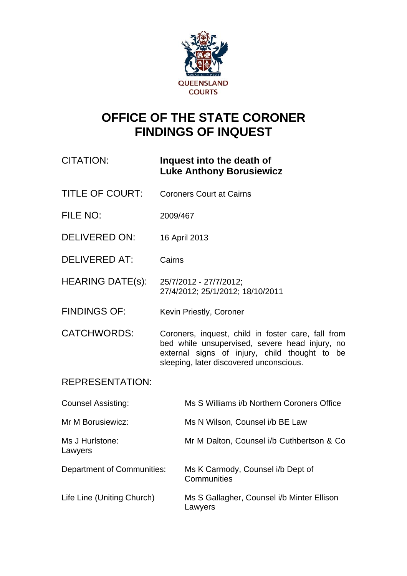

# **OFFICE OF THE STATE CORONER FINDINGS OF INQUEST**

# CITATION: **Inquest into the death of Luke Anthony Borusiewicz**

- TITLE OF COURT: Coroners Court at Cairns
- FILE NO: 2009/467
- DELIVERED ON: 16 April 2013
- DELIVERED AT: Cairns
- HEARING DATE(s): 25/7/2012 27/7/2012; 27/4/2012; 25/1/2012; 18/10/2011
- FINDINGS OF: Kevin Priestly, Coroner

CATCHWORDS: Coroners, inquest, child in foster care, fall from bed while unsupervised, severe head injury, no external signs of injury, child thought to be sleeping, later discovered unconscious.

# REPRESENTATION:

| <b>Counsel Assisting:</b>  | Ms S Williams i/b Northern Coroners Office            |
|----------------------------|-------------------------------------------------------|
| Mr M Borusiewicz:          | Ms N Wilson, Counsel i/b BE Law                       |
| Ms J Hurlstone:<br>Lawyers | Mr M Dalton, Counsel i/b Cuthbertson & Co.            |
| Department of Communities: | Ms K Carmody, Counsel i/b Dept of<br>Communities      |
| Life Line (Uniting Church) | Ms S Gallagher, Counsel i/b Minter Ellison<br>Lawyers |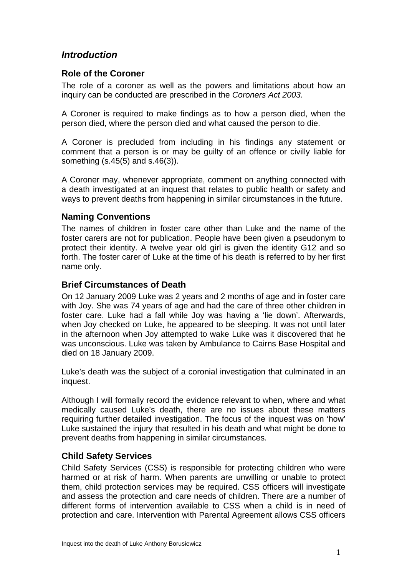# *Introduction*

#### **Role of the Coroner**

The role of a coroner as well as the powers and limitations about how an inquiry can be conducted are prescribed in the *Coroners Act 2003.*

A Coroner is required to make findings as to how a person died, when the person died, where the person died and what caused the person to die.

A Coroner is precluded from including in his findings any statement or comment that a person is or may be guilty of an offence or civilly liable for something (s.45(5) and s.46(3)).

A Coroner may, whenever appropriate, comment on anything connected with a death investigated at an inquest that relates to public health or safety and ways to prevent deaths from happening in similar circumstances in the future.

#### **Naming Conventions**

The names of children in foster care other than Luke and the name of the foster carers are not for publication. People have been given a pseudonym to protect their identity. A twelve year old girl is given the identity G12 and so forth. The foster carer of Luke at the time of his death is referred to by her first name only.

# **Brief Circumstances of Death**

On 12 January 2009 Luke was 2 years and 2 months of age and in foster care with Joy. She was 74 years of age and had the care of three other children in foster care. Luke had a fall while Joy was having a 'lie down'. Afterwards, when Joy checked on Luke, he appeared to be sleeping. It was not until later in the afternoon when Joy attempted to wake Luke was it discovered that he was unconscious. Luke was taken by Ambulance to Cairns Base Hospital and died on 18 January 2009.

Luke's death was the subject of a coronial investigation that culminated in an inquest.

Although I will formally record the evidence relevant to when, where and what medically caused Luke's death, there are no issues about these matters requiring further detailed investigation. The focus of the inquest was on 'how' Luke sustained the injury that resulted in his death and what might be done to prevent deaths from happening in similar circumstances.

#### **Child Safety Services**

Child Safety Services (CSS) is responsible for protecting children who were harmed or at risk of harm. When parents are unwilling or unable to protect them, child protection services may be required. CSS officers will investigate and assess the protection and care needs of children. There are a number of different forms of intervention available to CSS when a child is in need of protection and care. Intervention with Parental Agreement allows CSS officers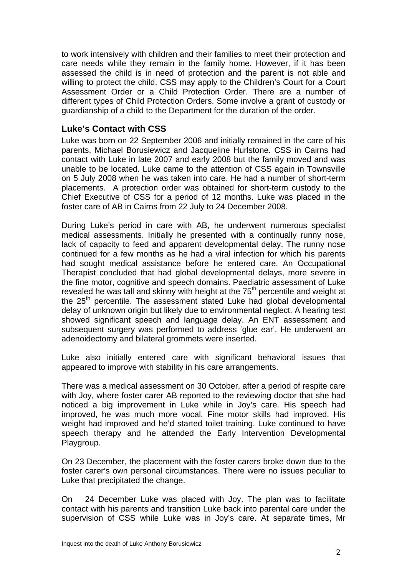to work intensively with children and their families to meet their protection and care needs while they remain in the family home. However, if it has been assessed the child is in need of protection and the parent is not able and willing to protect the child, CSS may apply to the Children's Court for a Court Assessment Order or a Child Protection Order. There are a number of different types of Child Protection Orders. Some involve a grant of custody or guardianship of a child to the Department for the duration of the order.

## **Luke's Contact with CSS**

Luke was born on 22 September 2006 and initially remained in the care of his parents, Michael Borusiewicz and Jacqueline Hurlstone. CSS in Cairns had contact with Luke in late 2007 and early 2008 but the family moved and was unable to be located. Luke came to the attention of CSS again in Townsville on 5 July 2008 when he was taken into care. He had a number of short-term placements. A protection order was obtained for short-term custody to the Chief Executive of CSS for a period of 12 months. Luke was placed in the foster care of AB in Cairns from 22 July to 24 December 2008.

During Luke's period in care with AB, he underwent numerous specialist medical assessments. Initially he presented with a continually runny nose, lack of capacity to feed and apparent developmental delay. The runny nose continued for a few months as he had a viral infection for which his parents had sought medical assistance before he entered care. An Occupational Therapist concluded that had global developmental delays, more severe in the fine motor, cognitive and speech domains. Paediatric assessment of Luke revealed he was tall and skinny with height at the  $75<sup>th</sup>$  percentile and weight at the 25<sup>th</sup> percentile. The assessment stated Luke had global developmental delay of unknown origin but likely due to environmental neglect. A hearing test showed significant speech and language delay. An ENT assessment and subsequent surgery was performed to address 'glue ear'. He underwent an adenoidectomy and bilateral grommets were inserted.

Luke also initially entered care with significant behavioral issues that appeared to improve with stability in his care arrangements.

There was a medical assessment on 30 October, after a period of respite care with Joy, where foster carer AB reported to the reviewing doctor that she had noticed a big improvement in Luke while in Joy's care. His speech had improved, he was much more vocal. Fine motor skills had improved. His weight had improved and he'd started toilet training. Luke continued to have speech therapy and he attended the Early Intervention Developmental Playgroup.

On 23 December, the placement with the foster carers broke down due to the foster carer's own personal circumstances. There were no issues peculiar to Luke that precipitated the change.

On 24 December Luke was placed with Joy. The plan was to facilitate contact with his parents and transition Luke back into parental care under the supervision of CSS while Luke was in Joy's care. At separate times, Mr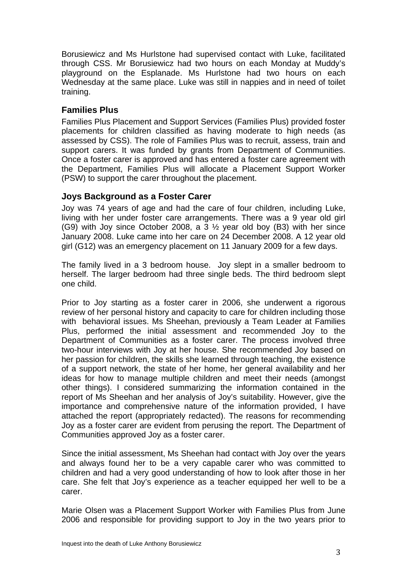Borusiewicz and Ms Hurlstone had supervised contact with Luke, facilitated through CSS. Mr Borusiewicz had two hours on each Monday at Muddy's playground on the Esplanade. Ms Hurlstone had two hours on each Wednesday at the same place. Luke was still in nappies and in need of toilet training.

#### **Families Plus**

Families Plus Placement and Support Services (Families Plus) provided foster placements for children classified as having moderate to high needs (as assessed by CSS). The role of Families Plus was to recruit, assess, train and support carers. It was funded by grants from Department of Communities. Once a foster carer is approved and has entered a foster care agreement with the Department, Families Plus will allocate a Placement Support Worker (PSW) to support the carer throughout the placement.

#### **Joys Background as a Foster Carer**

Joy was 74 years of age and had the care of four children, including Luke, living with her under foster care arrangements. There was a 9 year old girl (G9) with Joy since October 2008, a 3 ½ year old boy (B3) with her since January 2008. Luke came into her care on 24 December 2008. A 12 year old girl (G12) was an emergency placement on 11 January 2009 for a few days.

The family lived in a 3 bedroom house. Joy slept in a smaller bedroom to herself. The larger bedroom had three single beds. The third bedroom slept one child.

Prior to Joy starting as a foster carer in 2006, she underwent a rigorous review of her personal history and capacity to care for children including those with behavioral issues. Ms Sheehan, previously a Team Leader at Families Plus, performed the initial assessment and recommended Joy to the Department of Communities as a foster carer. The process involved three two-hour interviews with Joy at her house. She recommended Joy based on her passion for children, the skills she learned through teaching, the existence of a support network, the state of her home, her general availability and her ideas for how to manage multiple children and meet their needs (amongst other things). I considered summarizing the information contained in the report of Ms Sheehan and her analysis of Joy's suitability. However, give the importance and comprehensive nature of the information provided, I have attached the report (appropriately redacted). The reasons for recommending Joy as a foster carer are evident from perusing the report. The Department of Communities approved Joy as a foster carer.

Since the initial assessment, Ms Sheehan had contact with Joy over the years and always found her to be a very capable carer who was committed to children and had a very good understanding of how to look after those in her care. She felt that Joy's experience as a teacher equipped her well to be a carer.

Marie Olsen was a Placement Support Worker with Families Plus from June 2006 and responsible for providing support to Joy in the two years prior to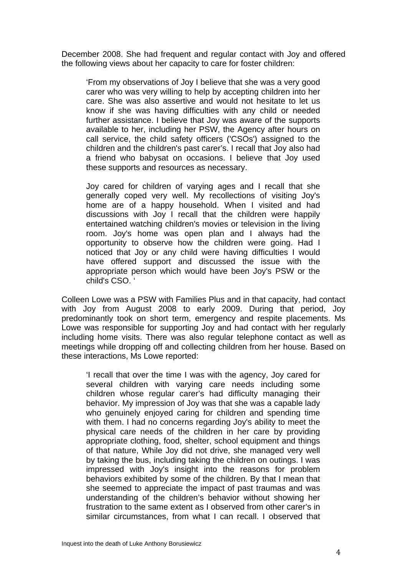December 2008. She had frequent and regular contact with Joy and offered the following views about her capacity to care for foster children:

'From my observations of Joy I believe that she was a very good carer who was very willing to help by accepting children into her care. She was also assertive and would not hesitate to let us know if she was having difficulties with any child or needed further assistance. I believe that Joy was aware of the supports available to her, including her PSW, the Agency after hours on call service, the child safety officers ('CSOs') assigned to the children and the children's past carer's. I recall that Joy also had a friend who babysat on occasions. I believe that Joy used these supports and resources as necessary.

Joy cared for children of varying ages and I recall that she generally coped very well. My recollections of visiting Joy's home are of a happy household. When I visited and had discussions with Joy I recall that the children were happily entertained watching children's movies or television in the living room. Joy's home was open plan and I always had the opportunity to observe how the children were going. Had I noticed that Joy or any child were having difficulties I would have offered support and discussed the issue with the appropriate person which would have been Joy's PSW or the child's CSO. '

Colleen Lowe was a PSW with Families Plus and in that capacity, had contact with Joy from August 2008 to early 2009. During that period, Joy predominantly took on short term, emergency and respite placements. Ms Lowe was responsible for supporting Joy and had contact with her regularly including home visits. There was also regular telephone contact as well as meetings while dropping off and collecting children from her house. Based on these interactions, Ms Lowe reported:

'I recall that over the time I was with the agency, Joy cared for several children with varying care needs including some children whose regular carer's had difficulty managing their behavior. My impression of Joy was that she was a capable lady who genuinely enjoyed caring for children and spending time with them. I had no concerns regarding Joy's ability to meet the physical care needs of the children in her care by providing appropriate clothing, food, shelter, school equipment and things of that nature, While Joy did not drive, she managed very well by taking the bus, including taking the children on outings. I was impressed with Joy's insight into the reasons for problem behaviors exhibited by some of the children. By that I mean that she seemed to appreciate the impact of past traumas and was understanding of the children's behavior without showing her frustration to the same extent as I observed from other carer's in similar circumstances, from what I can recall. I observed that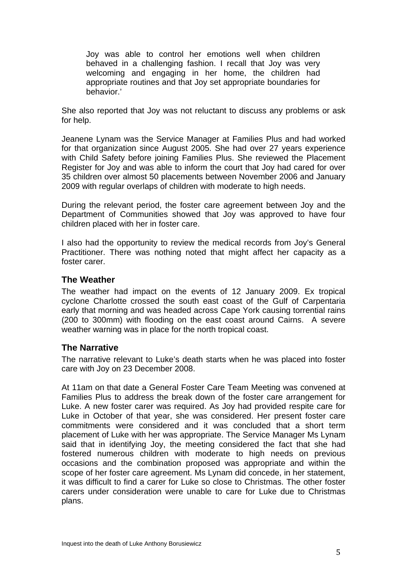Joy was able to control her emotions well when children behaved in a challenging fashion. I recall that Joy was very welcoming and engaging in her home, the children had appropriate routines and that Joy set appropriate boundaries for behavior.'

She also reported that Joy was not reluctant to discuss any problems or ask for help.

Jeanene Lynam was the Service Manager at Families Plus and had worked for that organization since August 2005. She had over 27 years experience with Child Safety before joining Families Plus. She reviewed the Placement Register for Joy and was able to inform the court that Joy had cared for over 35 children over almost 50 placements between November 2006 and January 2009 with regular overlaps of children with moderate to high needs.

During the relevant period, the foster care agreement between Joy and the Department of Communities showed that Joy was approved to have four children placed with her in foster care.

I also had the opportunity to review the medical records from Joy's General Practitioner. There was nothing noted that might affect her capacity as a foster carer.

#### **The Weather**

The weather had impact on the events of 12 January 2009. Ex tropical cyclone Charlotte crossed the south east coast of the Gulf of Carpentaria early that morning and was headed across Cape York causing torrential rains (200 to 300mm) with flooding on the east coast around Cairns. A severe weather warning was in place for the north tropical coast.

#### **The Narrative**

The narrative relevant to Luke's death starts when he was placed into foster care with Joy on 23 December 2008.

At 11am on that date a General Foster Care Team Meeting was convened at Families Plus to address the break down of the foster care arrangement for Luke. A new foster carer was required. As Joy had provided respite care for Luke in October of that year, she was considered. Her present foster care commitments were considered and it was concluded that a short term placement of Luke with her was appropriate. The Service Manager Ms Lynam said that in identifying Joy, the meeting considered the fact that she had fostered numerous children with moderate to high needs on previous occasions and the combination proposed was appropriate and within the scope of her foster care agreement. Ms Lynam did concede, in her statement, it was difficult to find a carer for Luke so close to Christmas. The other foster carers under consideration were unable to care for Luke due to Christmas plans.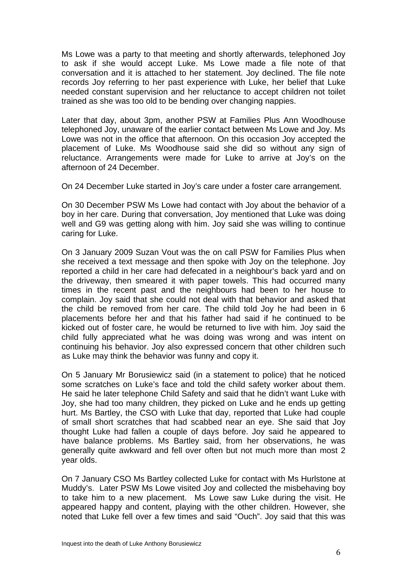Ms Lowe was a party to that meeting and shortly afterwards, telephoned Joy to ask if she would accept Luke. Ms Lowe made a file note of that conversation and it is attached to her statement. Joy declined. The file note records Joy referring to her past experience with Luke, her belief that Luke needed constant supervision and her reluctance to accept children not toilet trained as she was too old to be bending over changing nappies.

Later that day, about 3pm, another PSW at Families Plus Ann Woodhouse telephoned Joy, unaware of the earlier contact between Ms Lowe and Joy. Ms Lowe was not in the office that afternoon. On this occasion Joy accepted the placement of Luke. Ms Woodhouse said she did so without any sign of reluctance. Arrangements were made for Luke to arrive at Joy's on the afternoon of 24 December.

On 24 December Luke started in Joy's care under a foster care arrangement.

On 30 December PSW Ms Lowe had contact with Joy about the behavior of a boy in her care. During that conversation, Joy mentioned that Luke was doing well and G9 was getting along with him. Joy said she was willing to continue caring for Luke.

On 3 January 2009 Suzan Vout was the on call PSW for Families Plus when she received a text message and then spoke with Joy on the telephone. Joy reported a child in her care had defecated in a neighbour's back yard and on the driveway, then smeared it with paper towels. This had occurred many times in the recent past and the neighbours had been to her house to complain. Joy said that she could not deal with that behavior and asked that the child be removed from her care. The child told Joy he had been in 6 placements before her and that his father had said if he continued to be kicked out of foster care, he would be returned to live with him. Joy said the child fully appreciated what he was doing was wrong and was intent on continuing his behavior. Joy also expressed concern that other children such as Luke may think the behavior was funny and copy it.

On 5 January Mr Borusiewicz said (in a statement to police) that he noticed some scratches on Luke's face and told the child safety worker about them. He said he later telephone Child Safety and said that he didn't want Luke with Joy, she had too many children, they picked on Luke and he ends up getting hurt. Ms Bartley, the CSO with Luke that day, reported that Luke had couple of small short scratches that had scabbed near an eye. She said that Joy thought Luke had fallen a couple of days before. Joy said he appeared to have balance problems. Ms Bartley said, from her observations, he was generally quite awkward and fell over often but not much more than most 2 year olds.

On 7 January CSO Ms Bartley collected Luke for contact with Ms Hurlstone at Muddy's. Later PSW Ms Lowe visited Joy and collected the misbehaving boy to take him to a new placement. Ms Lowe saw Luke during the visit. He appeared happy and content, playing with the other children. However, she noted that Luke fell over a few times and said "Ouch". Joy said that this was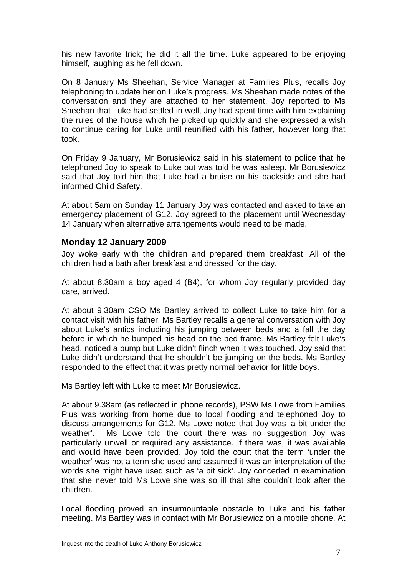his new favorite trick; he did it all the time. Luke appeared to be enjoying himself, laughing as he fell down.

On 8 January Ms Sheehan, Service Manager at Families Plus, recalls Joy telephoning to update her on Luke's progress. Ms Sheehan made notes of the conversation and they are attached to her statement. Joy reported to Ms Sheehan that Luke had settled in well, Joy had spent time with him explaining the rules of the house which he picked up quickly and she expressed a wish to continue caring for Luke until reunified with his father, however long that took.

On Friday 9 January, Mr Borusiewicz said in his statement to police that he telephoned Joy to speak to Luke but was told he was asleep. Mr Borusiewicz said that Joy told him that Luke had a bruise on his backside and she had informed Child Safety.

At about 5am on Sunday 11 January Joy was contacted and asked to take an emergency placement of G12. Joy agreed to the placement until Wednesday 14 January when alternative arrangements would need to be made.

#### **Monday 12 January 2009**

Joy woke early with the children and prepared them breakfast. All of the children had a bath after breakfast and dressed for the day.

At about 8.30am a boy aged 4 (B4), for whom Joy regularly provided day care, arrived.

At about 9.30am CSO Ms Bartley arrived to collect Luke to take him for a contact visit with his father. Ms Bartley recalls a general conversation with Joy about Luke's antics including his jumping between beds and a fall the day before in which he bumped his head on the bed frame. Ms Bartley felt Luke's head, noticed a bump but Luke didn't flinch when it was touched. Joy said that Luke didn't understand that he shouldn't be jumping on the beds. Ms Bartley responded to the effect that it was pretty normal behavior for little boys.

Ms Bartley left with Luke to meet Mr Borusiewicz.

At about 9.38am (as reflected in phone records), PSW Ms Lowe from Families Plus was working from home due to local flooding and telephoned Joy to discuss arrangements for G12. Ms Lowe noted that Joy was 'a bit under the weather'. Ms Lowe told the court there was no suggestion Joy was particularly unwell or required any assistance. If there was, it was available and would have been provided. Joy told the court that the term 'under the weather' was not a term she used and assumed it was an interpretation of the words she might have used such as 'a bit sick'. Joy conceded in examination that she never told Ms Lowe she was so ill that she couldn't look after the children.

Local flooding proved an insurmountable obstacle to Luke and his father meeting. Ms Bartley was in contact with Mr Borusiewicz on a mobile phone. At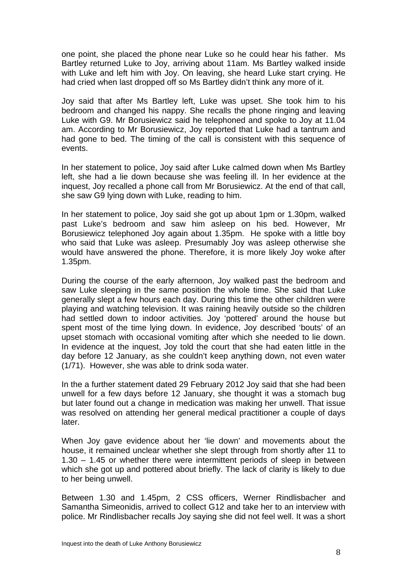one point, she placed the phone near Luke so he could hear his father. Ms Bartley returned Luke to Joy, arriving about 11am. Ms Bartley walked inside with Luke and left him with Joy. On leaving, she heard Luke start crying. He had cried when last dropped off so Ms Bartley didn't think any more of it.

Joy said that after Ms Bartley left, Luke was upset. She took him to his bedroom and changed his nappy. She recalls the phone ringing and leaving Luke with G9. Mr Borusiewicz said he telephoned and spoke to Joy at 11.04 am. According to Mr Borusiewicz, Joy reported that Luke had a tantrum and had gone to bed. The timing of the call is consistent with this sequence of events.

In her statement to police, Joy said after Luke calmed down when Ms Bartley left, she had a lie down because she was feeling ill. In her evidence at the inquest, Joy recalled a phone call from Mr Borusiewicz. At the end of that call, she saw G9 lying down with Luke, reading to him.

In her statement to police, Joy said she got up about 1pm or 1.30pm, walked past Luke's bedroom and saw him asleep on his bed. However, Mr Borusiewicz telephoned Joy again about 1.35pm. He spoke with a little boy who said that Luke was asleep. Presumably Joy was asleep otherwise she would have answered the phone. Therefore, it is more likely Joy woke after 1.35pm.

During the course of the early afternoon, Joy walked past the bedroom and saw Luke sleeping in the same position the whole time. She said that Luke generally slept a few hours each day. During this time the other children were playing and watching television. It was raining heavily outside so the children had settled down to indoor activities. Joy 'pottered' around the house but spent most of the time lying down. In evidence, Joy described 'bouts' of an upset stomach with occasional vomiting after which she needed to lie down. In evidence at the inquest, Joy told the court that she had eaten little in the day before 12 January, as she couldn't keep anything down, not even water (1/71). However, she was able to drink soda water.

In the a further statement dated 29 February 2012 Joy said that she had been unwell for a few days before 12 January, she thought it was a stomach bug but later found out a change in medication was making her unwell. That issue was resolved on attending her general medical practitioner a couple of days later.

When Joy gave evidence about her 'lie down' and movements about the house, it remained unclear whether she slept through from shortly after 11 to 1.30 – 1.45 or whether there were intermittent periods of sleep in between which she got up and pottered about briefly. The lack of clarity is likely to due to her being unwell.

Between 1.30 and 1.45pm, 2 CSS officers, Werner Rindlisbacher and Samantha Simeonidis, arrived to collect G12 and take her to an interview with police. Mr Rindlisbacher recalls Joy saying she did not feel well. It was a short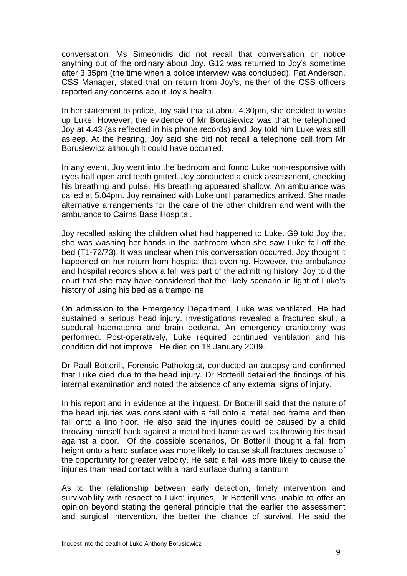conversation. Ms Simeonidis did not recall that conversation or notice anything out of the ordinary about Joy. G12 was returned to Joy's sometime after 3.35pm (the time when a police interview was concluded). Pat Anderson, CSS Manager, stated that on return from Joy's, neither of the CSS officers reported any concerns about Joy's health.

In her statement to police, Joy said that at about 4.30pm, she decided to wake up Luke. However, the evidence of Mr Borusiewicz was that he telephoned Joy at 4.43 (as reflected in his phone records) and Joy told him Luke was still asleep. At the hearing, Joy said she did not recall a telephone call from Mr Borusiewicz although it could have occurred.

In any event, Joy went into the bedroom and found Luke non-responsive with eyes half open and teeth gritted. Joy conducted a quick assessment, checking his breathing and pulse. His breathing appeared shallow. An ambulance was called at 5.04pm. Joy remained with Luke until paramedics arrived. She made alternative arrangements for the care of the other children and went with the ambulance to Cairns Base Hospital.

Joy recalled asking the children what had happened to Luke. G9 told Joy that she was washing her hands in the bathroom when she saw Luke fall off the bed (T1-72/73). It was unclear when this conversation occurred. Joy thought it happened on her return from hospital that evening. However, the ambulance and hospital records show a fall was part of the admitting history. Joy told the court that she may have considered that the likely scenario in light of Luke's history of using his bed as a trampoline.

On admission to the Emergency Department, Luke was ventilated. He had sustained a serious head injury. Investigations revealed a fractured skull, a subdural haematoma and brain oedema. An emergency craniotomy was performed. Post-operatively, Luke required continued ventilation and his condition did not improve. He died on 18 January 2009.

Dr Paull Botterill, Forensic Pathologist, conducted an autopsy and confirmed that Luke died due to the head injury. Dr Botterill detailed the findings of his internal examination and noted the absence of any external signs of injury.

In his report and in evidence at the inquest, Dr Botterill said that the nature of the head injuries was consistent with a fall onto a metal bed frame and then fall onto a lino floor. He also said the injuries could be caused by a child throwing himself back against a metal bed frame as well as throwing his head against a door. Of the possible scenarios, Dr Botterill thought a fall from height onto a hard surface was more likely to cause skull fractures because of the opportunity for greater velocity. He said a fall was more likely to cause the injuries than head contact with a hard surface during a tantrum.

As to the relationship between early detection, timely intervention and survivability with respect to Luke' injuries, Dr Botterill was unable to offer an opinion beyond stating the general principle that the earlier the assessment and surgical intervention, the better the chance of survival. He said the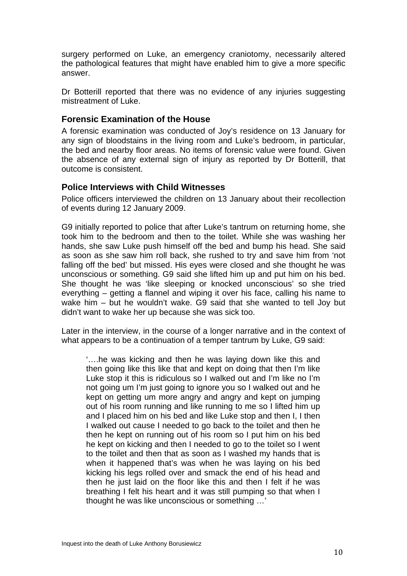surgery performed on Luke, an emergency craniotomy, necessarily altered the pathological features that might have enabled him to give a more specific answer.

Dr Botterill reported that there was no evidence of any injuries suggesting mistreatment of Luke.

#### **Forensic Examination of the House**

A forensic examination was conducted of Joy's residence on 13 January for any sign of bloodstains in the living room and Luke's bedroom, in particular, the bed and nearby floor areas. No items of forensic value were found. Given the absence of any external sign of injury as reported by Dr Botterill, that outcome is consistent.

#### **Police Interviews with Child Witnesses**

Police officers interviewed the children on 13 January about their recollection of events during 12 January 2009.

G9 initially reported to police that after Luke's tantrum on returning home, she took him to the bedroom and then to the toilet. While she was washing her hands, she saw Luke push himself off the bed and bump his head. She said as soon as she saw him roll back, she rushed to try and save him from 'not falling off the bed' but missed. His eyes were closed and she thought he was unconscious or something. G9 said she lifted him up and put him on his bed. She thought he was 'like sleeping or knocked unconscious' so she tried everything – getting a flannel and wiping it over his face, calling his name to wake him – but he wouldn't wake. G9 said that she wanted to tell Joy but didn't want to wake her up because she was sick too.

Later in the interview, in the course of a longer narrative and in the context of what appears to be a continuation of a temper tantrum by Luke, G9 said:

'….he was kicking and then he was laying down like this and then going like this like that and kept on doing that then I'm like Luke stop it this is ridiculous so I walked out and I'm like no I'm not going um I'm just going to ignore you so I walked out and he kept on getting um more angry and angry and kept on jumping out of his room running and like running to me so I lifted him up and I placed him on his bed and like Luke stop and then I, I then I walked out cause I needed to go back to the toilet and then he then he kept on running out of his room so I put him on his bed he kept on kicking and then I needed to go to the toilet so I went to the toilet and then that as soon as I washed my hands that is when it happened that's was when he was laying on his bed kicking his legs rolled over and smack the end of his head and then he just laid on the floor like this and then I felt if he was breathing I felt his heart and it was still pumping so that when I thought he was like unconscious or something …'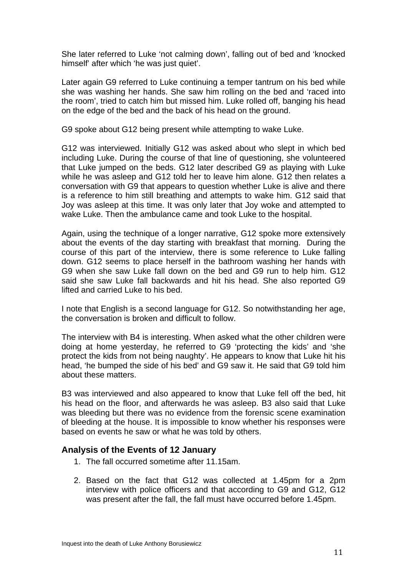She later referred to Luke 'not calming down', falling out of bed and 'knocked himself' after which 'he was just quiet'.

Later again G9 referred to Luke continuing a temper tantrum on his bed while she was washing her hands. She saw him rolling on the bed and 'raced into the room', tried to catch him but missed him. Luke rolled off, banging his head on the edge of the bed and the back of his head on the ground.

G9 spoke about G12 being present while attempting to wake Luke.

G12 was interviewed. Initially G12 was asked about who slept in which bed including Luke. During the course of that line of questioning, she volunteered that Luke jumped on the beds. G12 later described G9 as playing with Luke while he was asleep and G12 told her to leave him alone. G12 then relates a conversation with G9 that appears to question whether Luke is alive and there is a reference to him still breathing and attempts to wake him. G12 said that Joy was asleep at this time. It was only later that Joy woke and attempted to wake Luke. Then the ambulance came and took Luke to the hospital.

Again, using the technique of a longer narrative, G12 spoke more extensively about the events of the day starting with breakfast that morning. During the course of this part of the interview, there is some reference to Luke falling down. G12 seems to place herself in the bathroom washing her hands with G9 when she saw Luke fall down on the bed and G9 run to help him. G12 said she saw Luke fall backwards and hit his head. She also reported G9 lifted and carried Luke to his bed.

I note that English is a second language for G12. So notwithstanding her age, the conversation is broken and difficult to follow.

The interview with B4 is interesting. When asked what the other children were doing at home yesterday, he referred to G9 'protecting the kids' and 'she protect the kids from not being naughty'. He appears to know that Luke hit his head, 'he bumped the side of his bed' and G9 saw it. He said that G9 told him about these matters.

B3 was interviewed and also appeared to know that Luke fell off the bed, hit his head on the floor, and afterwards he was asleep. B3 also said that Luke was bleeding but there was no evidence from the forensic scene examination of bleeding at the house. It is impossible to know whether his responses were based on events he saw or what he was told by others.

#### **Analysis of the Events of 12 January**

- 1. The fall occurred sometime after 11.15am.
- 2. Based on the fact that G12 was collected at 1.45pm for a 2pm interview with police officers and that according to G9 and G12, G12 was present after the fall, the fall must have occurred before 1.45pm.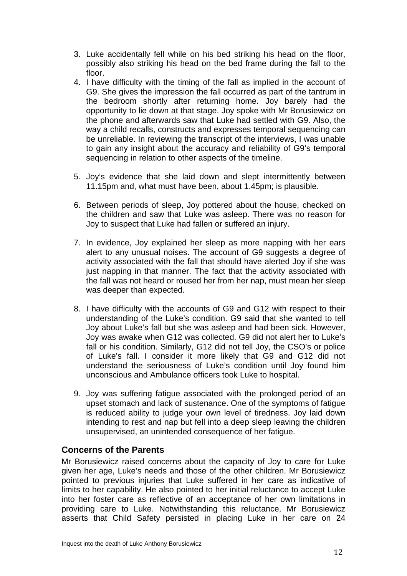- 3. Luke accidentally fell while on his bed striking his head on the floor, possibly also striking his head on the bed frame during the fall to the floor.
- 4. I have difficulty with the timing of the fall as implied in the account of G9. She gives the impression the fall occurred as part of the tantrum in the bedroom shortly after returning home. Joy barely had the opportunity to lie down at that stage. Joy spoke with Mr Borusiewicz on the phone and afterwards saw that Luke had settled with G9. Also, the way a child recalls, constructs and expresses temporal sequencing can be unreliable. In reviewing the transcript of the interviews, I was unable to gain any insight about the accuracy and reliability of G9's temporal sequencing in relation to other aspects of the timeline.
- 5. Joy's evidence that she laid down and slept intermittently between 11.15pm and, what must have been, about 1.45pm; is plausible.
- 6. Between periods of sleep, Joy pottered about the house, checked on the children and saw that Luke was asleep. There was no reason for Joy to suspect that Luke had fallen or suffered an injury.
- 7. In evidence, Joy explained her sleep as more napping with her ears alert to any unusual noises. The account of G9 suggests a degree of activity associated with the fall that should have alerted Joy if she was just napping in that manner. The fact that the activity associated with the fall was not heard or roused her from her nap, must mean her sleep was deeper than expected.
- 8. I have difficulty with the accounts of G9 and G12 with respect to their understanding of the Luke's condition. G9 said that she wanted to tell Joy about Luke's fall but she was asleep and had been sick. However, Joy was awake when G12 was collected. G9 did not alert her to Luke's fall or his condition. Similarly, G12 did not tell Joy, the CSO's or police of Luke's fall. I consider it more likely that G9 and G12 did not understand the seriousness of Luke's condition until Joy found him unconscious and Ambulance officers took Luke to hospital.
- 9. Joy was suffering fatigue associated with the prolonged period of an upset stomach and lack of sustenance. One of the symptoms of fatigue is reduced ability to judge your own level of tiredness. Joy laid down intending to rest and nap but fell into a deep sleep leaving the children unsupervised, an unintended consequence of her fatigue.

#### **Concerns of the Parents**

Mr Borusiewicz raised concerns about the capacity of Joy to care for Luke given her age, Luke's needs and those of the other children. Mr Borusiewicz pointed to previous injuries that Luke suffered in her care as indicative of limits to her capability. He also pointed to her initial reluctance to accept Luke into her foster care as reflective of an acceptance of her own limitations in providing care to Luke. Notwithstanding this reluctance, Mr Borusiewicz asserts that Child Safety persisted in placing Luke in her care on 24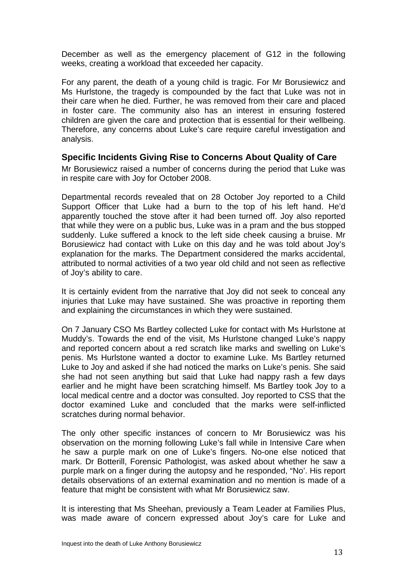December as well as the emergency placement of G12 in the following weeks, creating a workload that exceeded her capacity.

For any parent, the death of a young child is tragic. For Mr Borusiewicz and Ms Hurlstone, the tragedy is compounded by the fact that Luke was not in their care when he died. Further, he was removed from their care and placed in foster care. The community also has an interest in ensuring fostered children are given the care and protection that is essential for their wellbeing. Therefore, any concerns about Luke's care require careful investigation and analysis.

#### **Specific Incidents Giving Rise to Concerns About Quality of Care**

Mr Borusiewicz raised a number of concerns during the period that Luke was in respite care with Joy for October 2008.

Departmental records revealed that on 28 October Joy reported to a Child Support Officer that Luke had a burn to the top of his left hand. He'd apparently touched the stove after it had been turned off. Joy also reported that while they were on a public bus, Luke was in a pram and the bus stopped suddenly. Luke suffered a knock to the left side cheek causing a bruise. Mr Borusiewicz had contact with Luke on this day and he was told about Joy's explanation for the marks. The Department considered the marks accidental, attributed to normal activities of a two year old child and not seen as reflective of Joy's ability to care.

It is certainly evident from the narrative that Joy did not seek to conceal any injuries that Luke may have sustained. She was proactive in reporting them and explaining the circumstances in which they were sustained.

On 7 January CSO Ms Bartley collected Luke for contact with Ms Hurlstone at Muddy's. Towards the end of the visit, Ms Hurlstone changed Luke's nappy and reported concern about a red scratch like marks and swelling on Luke's penis. Ms Hurlstone wanted a doctor to examine Luke. Ms Bartley returned Luke to Joy and asked if she had noticed the marks on Luke's penis. She said she had not seen anything but said that Luke had nappy rash a few days earlier and he might have been scratching himself. Ms Bartley took Joy to a local medical centre and a doctor was consulted. Joy reported to CSS that the doctor examined Luke and concluded that the marks were self-inflicted scratches during normal behavior.

The only other specific instances of concern to Mr Borusiewicz was his observation on the morning following Luke's fall while in Intensive Care when he saw a purple mark on one of Luke's fingers. No-one else noticed that mark. Dr Botterill, Forensic Pathologist, was asked about whether he saw a purple mark on a finger during the autopsy and he responded, "No'. His report details observations of an external examination and no mention is made of a feature that might be consistent with what Mr Borusiewicz saw.

It is interesting that Ms Sheehan, previously a Team Leader at Families Plus, was made aware of concern expressed about Joy's care for Luke and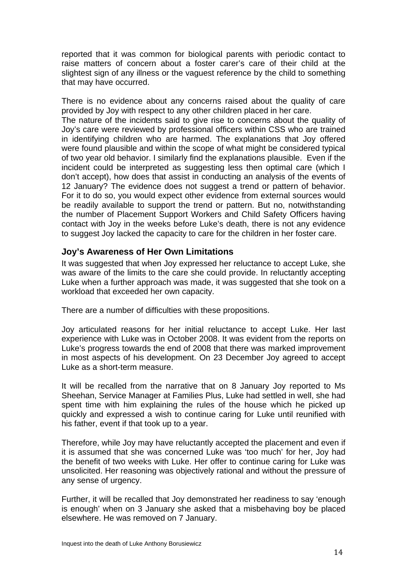reported that it was common for biological parents with periodic contact to raise matters of concern about a foster carer's care of their child at the slightest sign of any illness or the vaguest reference by the child to something that may have occurred.

There is no evidence about any concerns raised about the quality of care provided by Joy with respect to any other children placed in her care.

The nature of the incidents said to give rise to concerns about the quality of Joy's care were reviewed by professional officers within CSS who are trained in identifying children who are harmed. The explanations that Joy offered were found plausible and within the scope of what might be considered typical of two year old behavior. I similarly find the explanations plausible. Even if the incident could be interpreted as suggesting less then optimal care (which I don't accept), how does that assist in conducting an analysis of the events of 12 January? The evidence does not suggest a trend or pattern of behavior. For it to do so, you would expect other evidence from external sources would be readily available to support the trend or pattern. But no, notwithstanding the number of Placement Support Workers and Child Safety Officers having contact with Joy in the weeks before Luke's death, there is not any evidence to suggest Joy lacked the capacity to care for the children in her foster care.

#### **Joy's Awareness of Her Own Limitations**

It was suggested that when Joy expressed her reluctance to accept Luke, she was aware of the limits to the care she could provide. In reluctantly accepting Luke when a further approach was made, it was suggested that she took on a workload that exceeded her own capacity.

There are a number of difficulties with these propositions.

Joy articulated reasons for her initial reluctance to accept Luke. Her last experience with Luke was in October 2008. It was evident from the reports on Luke's progress towards the end of 2008 that there was marked improvement in most aspects of his development. On 23 December Joy agreed to accept Luke as a short-term measure.

It will be recalled from the narrative that on 8 January Joy reported to Ms Sheehan, Service Manager at Families Plus, Luke had settled in well, she had spent time with him explaining the rules of the house which he picked up quickly and expressed a wish to continue caring for Luke until reunified with his father, event if that took up to a year.

Therefore, while Joy may have reluctantly accepted the placement and even if it is assumed that she was concerned Luke was 'too much' for her, Joy had the benefit of two weeks with Luke. Her offer to continue caring for Luke was unsolicited. Her reasoning was objectively rational and without the pressure of any sense of urgency.

Further, it will be recalled that Joy demonstrated her readiness to say 'enough is enough' when on 3 January she asked that a misbehaving boy be placed elsewhere. He was removed on 7 January.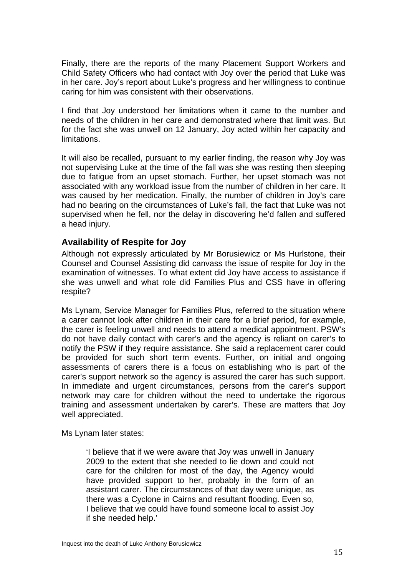Finally, there are the reports of the many Placement Support Workers and Child Safety Officers who had contact with Joy over the period that Luke was in her care. Joy's report about Luke's progress and her willingness to continue caring for him was consistent with their observations.

I find that Joy understood her limitations when it came to the number and needs of the children in her care and demonstrated where that limit was. But for the fact she was unwell on 12 January, Joy acted within her capacity and limitations.

It will also be recalled, pursuant to my earlier finding, the reason why Joy was not supervising Luke at the time of the fall was she was resting then sleeping due to fatigue from an upset stomach. Further, her upset stomach was not associated with any workload issue from the number of children in her care. It was caused by her medication. Finally, the number of children in Joy's care had no bearing on the circumstances of Luke's fall, the fact that Luke was not supervised when he fell, nor the delay in discovering he'd fallen and suffered a head injury.

#### **Availability of Respite for Joy**

Although not expressly articulated by Mr Borusiewicz or Ms Hurlstone, their Counsel and Counsel Assisting did canvass the issue of respite for Joy in the examination of witnesses. To what extent did Joy have access to assistance if she was unwell and what role did Families Plus and CSS have in offering respite?

Ms Lynam, Service Manager for Families Plus, referred to the situation where a carer cannot look after children in their care for a brief period, for example, the carer is feeling unwell and needs to attend a medical appointment. PSW's do not have daily contact with carer's and the agency is reliant on carer's to notify the PSW if they require assistance. She said a replacement carer could be provided for such short term events. Further, on initial and ongoing assessments of carers there is a focus on establishing who is part of the carer's support network so the agency is assured the carer has such support. In immediate and urgent circumstances, persons from the carer's support network may care for children without the need to undertake the rigorous training and assessment undertaken by carer's. These are matters that Joy well appreciated.

Ms Lynam later states:

'I believe that if we were aware that Joy was unwell in January 2009 to the extent that she needed to lie down and could not care for the children for most of the day, the Agency would have provided support to her, probably in the form of an assistant carer. The circumstances of that day were unique, as there was a Cyclone in Cairns and resultant flooding. Even so, I believe that we could have found someone local to assist Joy if she needed help.'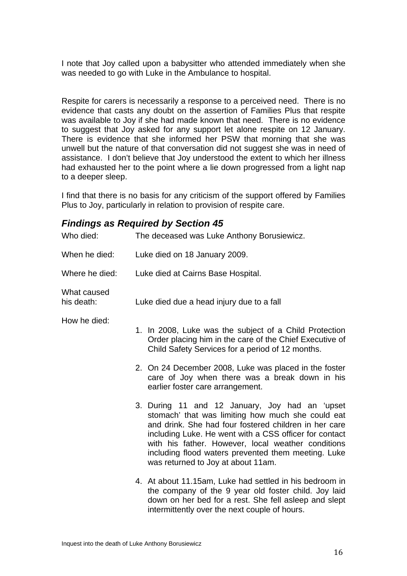I note that Joy called upon a babysitter who attended immediately when she was needed to go with Luke in the Ambulance to hospital.

Respite for carers is necessarily a response to a perceived need. There is no evidence that casts any doubt on the assertion of Families Plus that respite was available to Joy if she had made known that need. There is no evidence to suggest that Joy asked for any support let alone respite on 12 January. There is evidence that she informed her PSW that morning that she was unwell but the nature of that conversation did not suggest she was in need of assistance. I don't believe that Joy understood the extent to which her illness had exhausted her to the point where a lie down progressed from a light nap to a deeper sleep.

I find that there is no basis for any criticism of the support offered by Families Plus to Joy, particularly in relation to provision of respite care.

## *Findings as Required by Section 45*

| Who died:                 | The deceased was Luke Anthony Borusiewicz.                                                                                                                                                                                                                                                                                                                                |
|---------------------------|---------------------------------------------------------------------------------------------------------------------------------------------------------------------------------------------------------------------------------------------------------------------------------------------------------------------------------------------------------------------------|
| When he died:             | Luke died on 18 January 2009.                                                                                                                                                                                                                                                                                                                                             |
| Where he died:            | Luke died at Cairns Base Hospital.                                                                                                                                                                                                                                                                                                                                        |
| What caused<br>his death: | Luke died due a head injury due to a fall                                                                                                                                                                                                                                                                                                                                 |
| How he died:              | 1. In 2008, Luke was the subject of a Child Protection<br>Order placing him in the care of the Chief Executive of<br>Child Safety Services for a period of 12 months.                                                                                                                                                                                                     |
|                           | 2. On 24 December 2008, Luke was placed in the foster<br>care of Joy when there was a break down in his<br>earlier foster care arrangement.                                                                                                                                                                                                                               |
|                           | 3. During 11 and 12 January, Joy had an 'upset<br>stomach' that was limiting how much she could eat<br>and drink. She had four fostered children in her care<br>including Luke. He went with a CSS officer for contact<br>with his father. However, local weather conditions<br>including flood waters prevented them meeting. Luke<br>was returned to Joy at about 11am. |
|                           | 4. At about 11.15am, Luke had settled in his bedroom in<br>the company of the 9 year old foster child. Joy laid<br>down on her bed for a rest. She fell asleep and slept<br>intermittently over the next couple of hours.                                                                                                                                                 |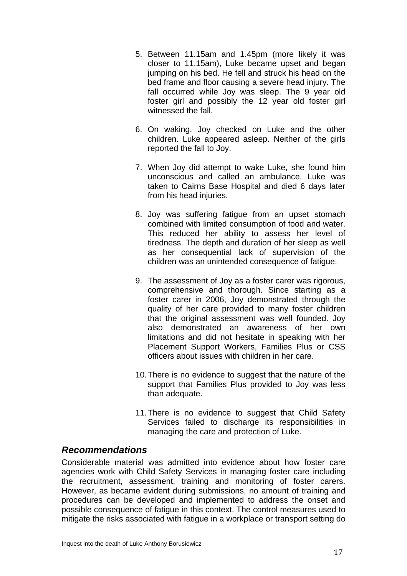- 5. Between 11.15am and 1.45pm (more likely it was closer to 11.15am), Luke became upset and began jumping on his bed. He fell and struck his head on the bed frame and floor causing a severe head injury. The fall occurred while Joy was sleep. The 9 year old foster girl and possibly the 12 year old foster girl witnessed the fall.
- 6. On waking, Joy checked on Luke and the other children. Luke appeared asleep. Neither of the girls reported the fall to Joy.
- 7. When Joy did attempt to wake Luke, she found him unconscious and called an ambulance. Luke was taken to Cairns Base Hospital and died 6 days later from his head injuries.
- 8. Joy was suffering fatigue from an upset stomach combined with limited consumption of food and water. This reduced her ability to assess her level of tiredness. The depth and duration of her sleep as well as her consequential lack of supervision of the children was an unintended consequence of fatigue.
- 9. The assessment of Joy as a foster carer was rigorous, comprehensive and thorough. Since starting as a foster carer in 2006, Joy demonstrated through the quality of her care provided to many foster children that the original assessment was well founded. Joy also demonstrated an awareness of her own limitations and did not hesitate in speaking with her Placement Support Workers, Families Plus or CSS officers about issues with children in her care.
- 10. There is no evidence to suggest that the nature of the support that Families Plus provided to Joy was less than adequate.
- 11. There is no evidence to suggest that Child Safety Services failed to discharge its responsibilities in managing the care and protection of Luke.

#### *Recommendations*

Considerable material was admitted into evidence about how foster care agencies work with Child Safety Services in managing foster care including the recruitment, assessment, training and monitoring of foster carers. However, as became evident during submissions, no amount of training and procedures can be developed and implemented to address the onset and possible consequence of fatigue in this context. The control measures used to mitigate the risks associated with fatigue in a workplace or transport setting do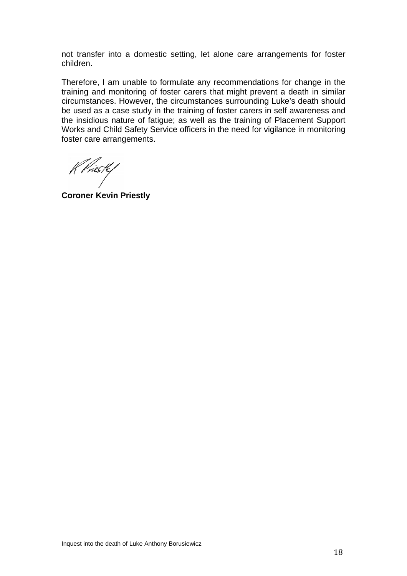not transfer into a domestic setting, let alone care arrangements for foster children.

Therefore, I am unable to formulate any recommendations for change in the training and monitoring of foster carers that might prevent a death in similar circumstances. However, the circumstances surrounding Luke's death should be used as a case study in the training of foster carers in self awareness and the insidious nature of fatigue; as well as the training of Placement Support Works and Child Safety Service officers in the need for vigilance in monitoring foster care arrangements.

K Vriestef

**Coroner Kevin Priestly**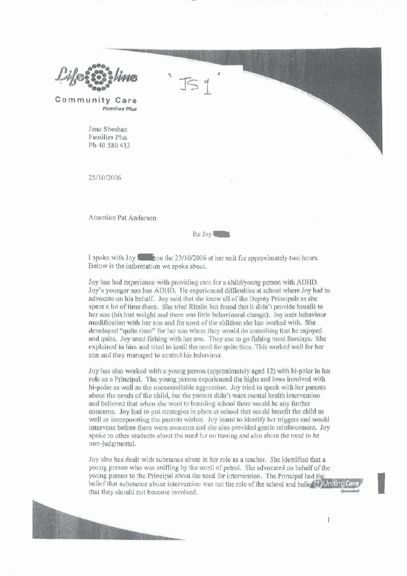

Community Care **Families Plus** 

> Jane Sheehan Families Plus Ph 40 580 433

25/10/2006

Attention Pat Anderson



I spoke with Joy **1** Fon the 23/10/2006 at her unit for approximately two hours. Below is the information we spoke about.

Joy has had experience with providing care for a child/young person with ADHD. Joy's younger son has ADHD. He experienced difficulties at school where Joy had to advocate on his behalf. Joy said that she knew all of the Deputy Principals as she spent a lot of time there. She tried Ritalin but found that it didn't provide benefit to her son (his lost weight and there was little behavioural change). Joy uses behaviour modification with her son and for most of the children she has worked with. She developed "quite time" for her son where they would do something that he enjoyed and quite. Joy used fishing with her son. They use to go fishing most Sundays. She explained to him and tried to instil the need for quite time. This worked well for her son and they managed to control his behaviour.

Joy has also worked with a young person (approximately aged 12) with bi-polar in her role as a Principal. The young person experienced the highs and lows involved with bi-polar as well as the uncontrollable aggression. Joy tried to speak with her parents about the needs of the child, but the parents didn't want mental health intervention and believed that when she went to boarding school there would be any further concerns. Joy had to put strategies in place at school that would benefit the child as well as incorporating the parents wishes. Joy learnt to identify her triggers and would intervene before there were concerns and she also provided gentle reinforcement. Joy spoke to other students about the need for no teasing and also about the need to be non-judgmental.

Joy also has dealt with substance abuse in her role as a teacher. She identified that a young person who was sniffing by the smell of petrol. She advocated on behalf of the young person to the Principal about the need for intervention. The Principal had the belief that substance abuse intervention was not the role of the school and belief all Uniting Car that they should not become involved.

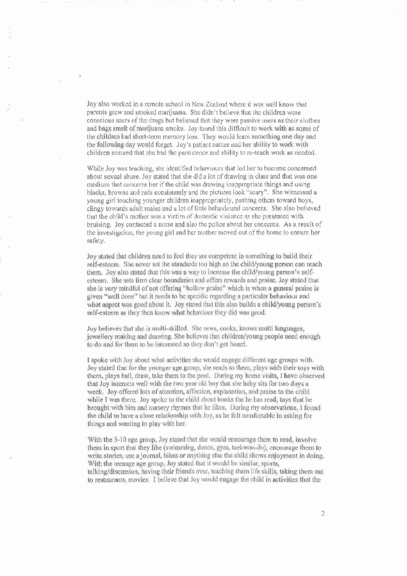Joy also worked in a remote school in New Zealand where it was well know that parents grew and smoked marijuana. She didn't believe that the children were conscious users of the drugs but believed that they were passive users as their clothes and bags smelt of marijuana smoke. Joy found this difficult to work with as some of the children had short-term memory loss. They would learn something one day and the following day would forget. Joy's patient nature and her ability to work with children ensured that she had the persistence and ability to re-teach work as needed.

While Joy was teaching, she identified behaviours that led her to become concerned about sexual abuse. Joy stated that she did a lot of drawing in class and that was one medium that concerns her if the child was drawing inappropriate things and using blacks, browns and reds consistently and the pictures look "scary". She witnessed a young girl touching younger children inappropriately, pushing others toward boys, clingy towards adult males and a lot of little behavioural concerns. She also believed that the child's mother was a victim of domestic violence as she presented with bruising. Joy contacted a nurse and also the police about her concerns. As a result of the investigation, the young girl and her mother moved out of the home to ensure her safety.

Joy stated that children need to feel they are competent in something to build their self-esteem. She never set the standards too high so the child/young person can reach them. Joy also stated that this was a way to increase the child/young person's selfesteem. She sets firm clear boundaries and offers rewards and praise. Joy stated that she is very mindful of not offering "hollow praise" which is when a general praise is given "well done" but it needs to be specific regarding a particular behaviour and what aspect was good about it. Joy stated that this also builds a child/young person's self-esteem as they then know what behaviour they did was good.

Joy believes that she is multi-skilled. She sews, cooks, knows multi languages. jewellery making and drawing. She believes that children/young people need enough to do and for them to be interested so they don't get board.

I spoke with Joy about what activities she would engage different age groups with. Joy stated that for the younger age group, she reads to them, plays with their toys with them, plays ball, draw, take them to the pool. During my home visits, I have observed that Joy interacts well with the two year old boy that she baby sits for two days a week. Joy offered lots of attention, affection, explanation, and praise to the child while I was there. Joy spoke to the child about books the he has read, toys that he brought with him and nursery rhymes that he likes. During my observations, I found the child to have a close relationship with Joy, as he felt comfortable in asking for things and wanting to play with her.

With the 5-10 age group, Joy stated that she would encourage them to read, involve them in sport that they like (swimming, dance, gym, taekwon-do), encourage them to write stories, use a journal, bikes or anything else the child shows enjoyment in doing. With the teenage age group, Joy stated that it would be similar, sports, talking/discussion, having their friends over, teaching them life skills, taking them out to restaurants, movies. I believe that Joy would engage the child in activities that the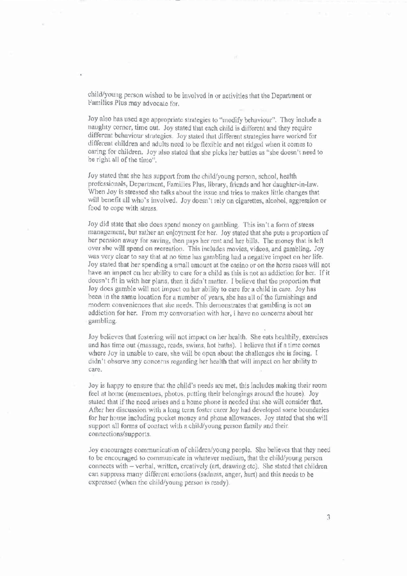child/young person wished to be involved in or activities that the Department or Families Plus may advocate for,

Joy also has used age appropriate strategies to "modify behaviour". They include a naughty corner, time out. Joy stated that each child is different and they require different behaviour strategies. Joy stated that different strategies have worked for different children and adults need to be flexible and not ridged when it comes to caring for children. Joy also stated that she picks her battles as "she doesn't need to be right all of the time".

Joy stated that she has support from the child/young person, school, health professionals, Department, Families Plus, library, friends and her daughter-in-law. When Joy is stressed she talks about the issue and tries to makes little changes that will benefit all who's involved. Joy doesn't rely on cigarettes, alcohol, aggression or food to cope with stress.

Joy did state that she does spend money on gambling. This isn't a form of stress management, but rather an enjoyment for her. Joy stated that she puts a proportion of her pension away for saving, then pays her rent and her bills. The money that is left over she will spend on recreation. This includes movies, videos, and gambling. Joy was very clear to say that at no time has gambling had a negative impact on her life. Joy stated that her spending a small amount at the casino or on the horse races will not have an impact on her ability to care for a child as this is not an addiction for her. If it doesn't fit in with her plans, then it didn't matter. I believe that the proportion that Joy does gamble will not impact on her ability to care for a child in care. Joy has been in the same location for a number of years, she has all of the furnishings and modern conveniences that she needs. This demonstrates that gambling is not an addiction for her. From my conversation with her, I have no concerns about her gambling.

Joy believes that fostering will not impact on her health. She eats healthily, exercises and has time out (massage, reads, swims, hot baths). I believe that if a time comes where Joy in unable to care, she will be open about the challenges she is facing. I didn't observe any concerns regarding her health that will impact on her ability to care.

Joy is happy to ensure that the child's needs are met, this includes making their room feel at home (mementoes, photos, putting their belongings around the house). Joy stated that if the need arises and a home phone is needed that she will consider that, After her discussion with a long term foster carer Joy had developed some boundaries for her house including pocket money and phone allowances. Joy stated that she will support all forms of contact with a child/young person family and their. connections/supports.

Joy encourages communication of children/young people. She believes that they need to be encouraged to communicate in whatever medium, that the child/young person connects with – verbal, written, creatively (art, drawing etc). She stated that children can suppress many different emotions (sadness, anger, hurt) and this needs to be expressed (when the child/young person is ready).

3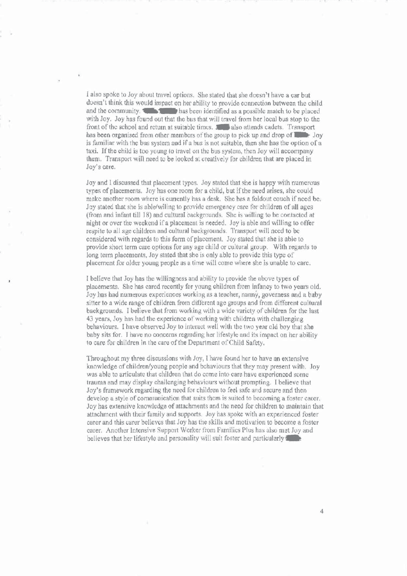I also spoke to Joy about travel options. She stated that she doesn't have a car but doesn't think this would impact on her ability to provide connection between the child and the community. Thus has been identified as a possible match to be placed with Joy. Joy has found out that the bus that will travel from her local bus stop to the front of the school and return at suitable times. **For also attends cadets**. Transport has been organised from other members of the group to pick up and drop of  $\Box$  Joy is familiar with the bus system and if a bus is not suitable, then she has the option of a taxi. If the child is too young to travel on the bus system, then Joy will accompany them. Transport will need to be looked at creatively for children that are placed in Joy's care.

Joy and I discussed that placement types. Joy stated that she is happy with numerous types of placements. Joy has one room for a child, but if the need arises, she could make another room where is currently has a desk. She has a foldout couch if need be. Joy stated that she is able/willing to provide emergency care for children of all ages (from and infant till 18) and cultural backgrounds. She is willing to be contacted at night or over the weekend if a placement is needed. Joy is able and willing to offer respite to all age children and cultural backgrounds. Transport will need to be considered with regards to this form of placement. Joy stated that she is able to provide short term care options for any age child or cultural group. With regards to long term placements, Joy stated that she is only able to provide this type of placement for older young people as a time will come where she is unable to care.

I believe that Joy has the willingness and ability to provide the above types of placements. She has cared recently for young children from infancy to two years old. Joy has had numerous experiences working as a teacher, nanny, governess and a baby sitter to a wide range of children from different age groups and from different cultural backgrounds. I believe that from working with a wide variety of children for the last 43 years, Joy has had the experience of working with children with challenging behaviours. I have observed Joy to interact well with the two year old boy that she baby sits for. I have no concerns regarding her lifestyle and its impact on her ability to care for children in the care of the Department of Child Safety.

Throughout my three discussions with Joy, I have found her to have an extensive knowledge of children/young people and behaviours that they may present with. Joy was able to articulate that children that do come into care have experienced some trauma and may display challenging behaviours without prompting. I believe that Joy's framework regarding the need for children to feel safe and secure and then develop a style of communication that suits them is suited to becoming a foster carer. Joy has extensive knowledge of attachments and the need for children to maintain that attachment with their family and supports. Joy has spoke with an experienced foster carer and this carer believes that Joy has the skills and motivation to become a foster carer. Another Intensive Support Worker from Families Plus has also met Joy and believes that her lifestyle and personality will suit foster and particularly

 $\overline{4}$